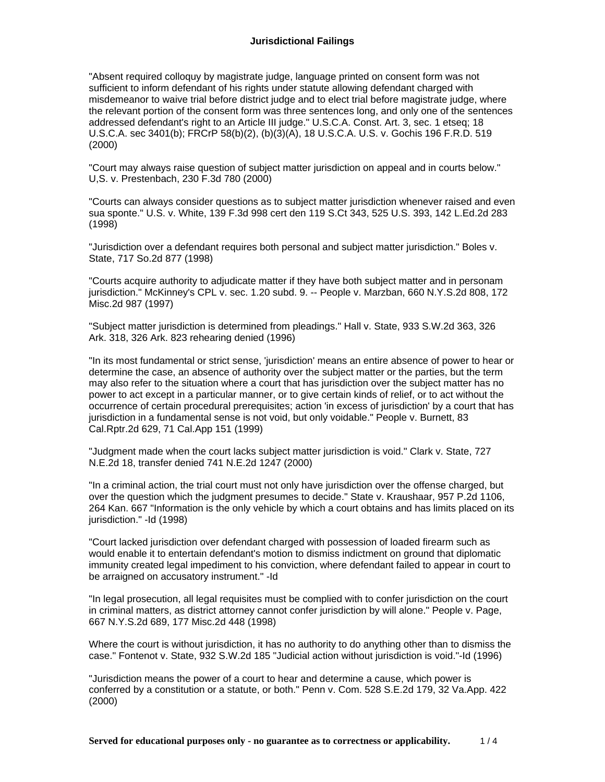"Absent required colloquy by magistrate judge, language printed on consent form was not sufficient to inform defendant of his rights under statute allowing defendant charged with misdemeanor to waive trial before district judge and to elect trial before magistrate judge, where the relevant portion of the consent form was three sentences long, and only one of the sentences addressed defendant's right to an Article III judge." U.S.C.A. Const. Art. 3, sec. 1 etseq; 18 U.S.C.A. sec 3401(b); FRCrP 58(b)(2), (b)(3)(A), 18 U.S.C.A. U.S. v. Gochis 196 F.R.D. 519 (2000)

"Court may always raise question of subject matter jurisdiction on appeal and in courts below." U,S. v. Prestenbach, 230 F.3d 780 (2000)

"Courts can always consider questions as to subject matter jurisdiction whenever raised and even sua sponte." U.S. v. White, 139 F.3d 998 cert den 119 S.Ct 343, 525 U.S. 393, 142 L.Ed.2d 283 (1998)

"Jurisdiction over a defendant requires both personal and subject matter jurisdiction." Boles v. State, 717 So.2d 877 (1998)

"Courts acquire authority to adjudicate matter if they have both subject matter and in personam jurisdiction." McKinney's CPL v. sec. 1.20 subd. 9. -- People v. Marzban, 660 N.Y.S.2d 808, 172 Misc.2d 987 (1997)

"Subject matter jurisdiction is determined from pleadings." Hall v. State, 933 S.W.2d 363, 326 Ark. 318, 326 Ark. 823 rehearing denied (1996)

"In its most fundamental or strict sense, 'jurisdiction' means an entire absence of power to hear or determine the case, an absence of authority over the subject matter or the parties, but the term may also refer to the situation where a court that has jurisdiction over the subject matter has no power to act except in a particular manner, or to give certain kinds of relief, or to act without the occurrence of certain procedural prerequisites; action 'in excess of jurisdiction' by a court that has jurisdiction in a fundamental sense is not void, but only voidable." People v. Burnett, 83 Cal.Rptr.2d 629, 71 Cal.App 151 (1999)

"Judgment made when the court lacks subject matter jurisdiction is void." Clark v. State, 727 N.E.2d 18, transfer denied 741 N.E.2d 1247 (2000)

"In a criminal action, the trial court must not only have jurisdiction over the offense charged, but over the question which the judgment presumes to decide." State v. Kraushaar, 957 P.2d 1106, 264 Kan. 667 "Information is the only vehicle by which a court obtains and has limits placed on its jurisdiction." -Id (1998)

"Court lacked jurisdiction over defendant charged with possession of loaded firearm such as would enable it to entertain defendant's motion to dismiss indictment on ground that diplomatic immunity created legal impediment to his conviction, where defendant failed to appear in court to be arraigned on accusatory instrument." -Id

"In legal prosecution, all legal requisites must be complied with to confer jurisdiction on the court in criminal matters, as district attorney cannot confer jurisdiction by will alone." People v. Page, 667 N.Y.S.2d 689, 177 Misc.2d 448 (1998)

Where the court is without jurisdiction, it has no authority to do anything other than to dismiss the case." Fontenot v. State, 932 S.W.2d 185 "Judicial action without jurisdiction is void."-Id (1996)

"Jurisdiction means the power of a court to hear and determine a cause, which power is conferred by a constitution or a statute, or both." Penn v. Com. 528 S.E.2d 179, 32 Va.App. 422 (2000)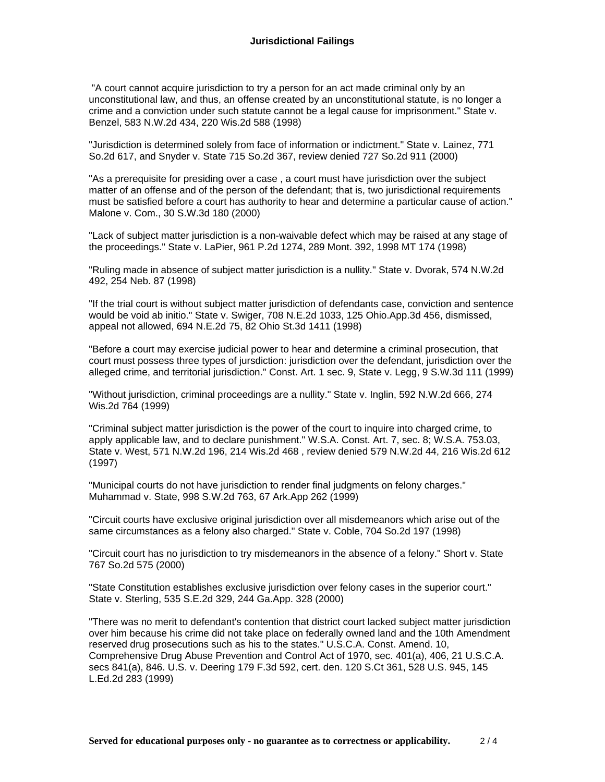"A court cannot acquire jurisdiction to try a person for an act made criminal only by an unconstitutional law, and thus, an offense created by an unconstitutional statute, is no longer a crime and a conviction under such statute cannot be a legal cause for imprisonment." State v. Benzel, 583 N.W.2d 434, 220 Wis.2d 588 (1998)

"Jurisdiction is determined solely from face of information or indictment." State v. Lainez, 771 So.2d 617, and Snyder v. State 715 So.2d 367, review denied 727 So.2d 911 (2000)

"As a prerequisite for presiding over a case , a court must have jurisdiction over the subject matter of an offense and of the person of the defendant; that is, two jurisdictional requirements must be satisfied before a court has authority to hear and determine a particular cause of action." Malone v. Com., 30 S.W.3d 180 (2000)

"Lack of subject matter jurisdiction is a non-waivable defect which may be raised at any stage of the proceedings." State v. LaPier, 961 P.2d 1274, 289 Mont. 392, 1998 MT 174 (1998)

"Ruling made in absence of subject matter jurisdiction is a nullity." State v. Dvorak, 574 N.W.2d 492, 254 Neb. 87 (1998)

"If the trial court is without subject matter jurisdiction of defendants case, conviction and sentence would be void ab initio." State v. Swiger, 708 N.E.2d 1033, 125 Ohio.App.3d 456, dismissed, appeal not allowed, 694 N.E.2d 75, 82 Ohio St.3d 1411 (1998)

"Before a court may exercise judicial power to hear and determine a criminal prosecution, that court must possess three types of jursdiction: jurisdiction over the defendant, jurisdiction over the alleged crime, and territorial jurisdiction." Const. Art. 1 sec. 9, State v. Legg, 9 S.W.3d 111 (1999)

"Without jurisdiction, criminal proceedings are a nullity." State v. Inglin, 592 N.W.2d 666, 274 Wis.2d 764 (1999)

"Criminal subject matter jurisdiction is the power of the court to inquire into charged crime, to apply applicable law, and to declare punishment." W.S.A. Const. Art. 7, sec. 8; W.S.A. 753.03, State v. West, 571 N.W.2d 196, 214 Wis.2d 468 , review denied 579 N.W.2d 44, 216 Wis.2d 612 (1997)

"Municipal courts do not have jurisdiction to render final judgments on felony charges." Muhammad v. State, 998 S.W.2d 763, 67 Ark.App 262 (1999)

"Circuit courts have exclusive original jurisdiction over all misdemeanors which arise out of the same circumstances as a felony also charged." State v. Coble, 704 So.2d 197 (1998)

"Circuit court has no jurisdiction to try misdemeanors in the absence of a felony." Short v. State 767 So.2d 575 (2000)

"State Constitution establishes exclusive jurisdiction over felony cases in the superior court." State v. Sterling, 535 S.E.2d 329, 244 Ga.App. 328 (2000)

"There was no merit to defendant's contention that district court lacked subject matter jurisdiction over him because his crime did not take place on federally owned land and the 10th Amendment reserved drug prosecutions such as his to the states." U.S.C.A. Const. Amend. 10, Comprehensive Drug Abuse Prevention and Control Act of 1970, sec. 401(a), 406, 21 U.S.C.A. secs 841(a), 846. U.S. v. Deering 179 F.3d 592, cert. den. 120 S.Ct 361, 528 U.S. 945, 145 L.Ed.2d 283 (1999)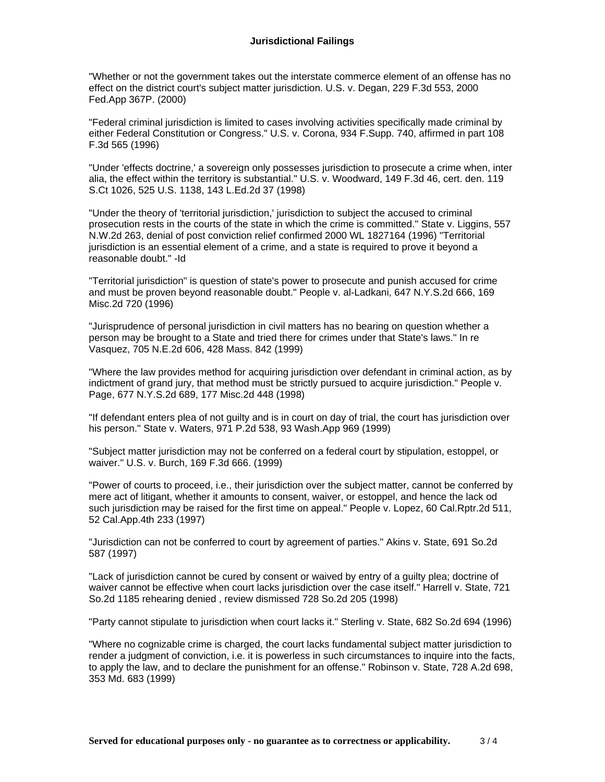"Whether or not the government takes out the interstate commerce element of an offense has no effect on the district court's subject matter jurisdiction. U.S. v. Degan, 229 F.3d 553, 2000 Fed.App 367P. (2000)

"Federal criminal jurisdiction is limited to cases involving activities specifically made criminal by either Federal Constitution or Congress." U.S. v. Corona, 934 F.Supp. 740, affirmed in part 108 F.3d 565 (1996)

"Under 'effects doctrine,' a sovereign only possesses jurisdiction to prosecute a crime when, inter alia, the effect within the territory is substantial." U.S. v. Woodward, 149 F.3d 46, cert. den. 119 S.Ct 1026, 525 U.S. 1138, 143 L.Ed.2d 37 (1998)

"Under the theory of 'territorial jurisdiction,' jurisdiction to subject the accused to criminal prosecution rests in the courts of the state in which the crime is committed." State v. Liggins, 557 N.W.2d 263, denial of post conviction relief confirmed 2000 WL 1827164 (1996) "Territorial jurisdiction is an essential element of a crime, and a state is required to prove it beyond a reasonable doubt." -Id

"Territorial jurisdiction" is question of state's power to prosecute and punish accused for crime and must be proven beyond reasonable doubt." People v. al-Ladkani, 647 N.Y.S.2d 666, 169 Misc.2d 720 (1996)

"Jurisprudence of personal jurisdiction in civil matters has no bearing on question whether a person may be brought to a State and tried there for crimes under that State's laws." In re Vasquez, 705 N.E.2d 606, 428 Mass. 842 (1999)

"Where the law provides method for acquiring jurisdiction over defendant in criminal action, as by indictment of grand jury, that method must be strictly pursued to acquire jurisdiction." People v. Page, 677 N.Y.S.2d 689, 177 Misc.2d 448 (1998)

"If defendant enters plea of not guilty and is in court on day of trial, the court has jurisdiction over his person." State v. Waters, 971 P.2d 538, 93 Wash.App 969 (1999)

"Subject matter jurisdiction may not be conferred on a federal court by stipulation, estoppel, or waiver." U.S. v. Burch, 169 F.3d 666. (1999)

"Power of courts to proceed, i.e., their jurisdiction over the subject matter, cannot be conferred by mere act of litigant, whether it amounts to consent, waiver, or estoppel, and hence the lack od such jurisdiction may be raised for the first time on appeal." People v. Lopez, 60 Cal.Rptr.2d 511, 52 Cal.App.4th 233 (1997)

"Jurisdiction can not be conferred to court by agreement of parties." Akins v. State, 691 So.2d 587 (1997)

"Lack of jurisdiction cannot be cured by consent or waived by entry of a guilty plea; doctrine of waiver cannot be effective when court lacks jurisdiction over the case itself." Harrell v. State, 721 So.2d 1185 rehearing denied , review dismissed 728 So.2d 205 (1998)

"Party cannot stipulate to jurisdiction when court lacks it." Sterling v. State, 682 So.2d 694 (1996)

"Where no cognizable crime is charged, the court lacks fundamental subject matter jurisdiction to render a judgment of conviction, i.e. it is powerless in such circumstances to inquire into the facts, to apply the law, and to declare the punishment for an offense." Robinson v. State, 728 A.2d 698, 353 Md. 683 (1999)